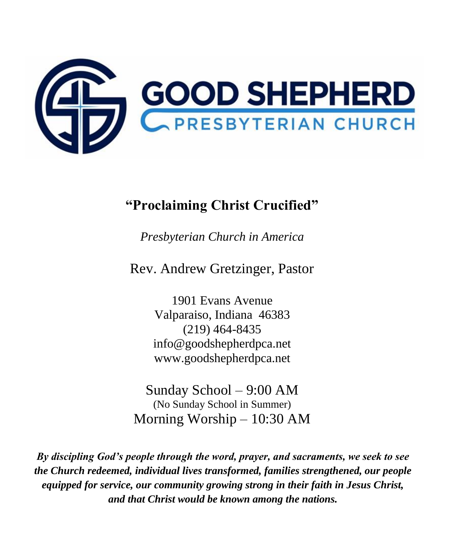

# **"Proclaiming Christ Crucified"**

*Presbyterian Church in America*

Rev. Andrew Gretzinger, Pastor

1901 Evans Avenue Valparaiso, Indiana 46383 (219) 464-8435 [info@goodshepherdpca.net](mailto:info@goodshepherdpca.net) [www.goodshepherdpca.net](http://www.goodshepherdpca.net/)

Sunday School – 9:00 AM (No Sunday School in Summer) Morning Worship – 10:30 AM

*By discipling God's people through the word, prayer, and sacraments, we seek to see the Church redeemed, individual lives transformed, families strengthened, our people equipped for service, our community growing strong in their faith in Jesus Christ, and that Christ would be known among the nations.*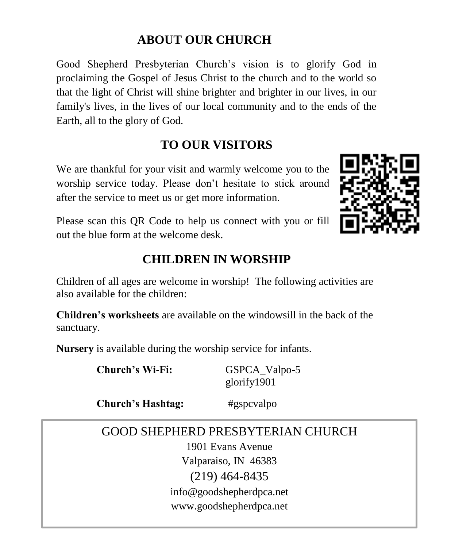# **ABOUT OUR CHURCH**

Good Shepherd Presbyterian Church's vision is to glorify God in proclaiming the Gospel of Jesus Christ to the church and to the world so that the light of Christ will shine brighter and brighter in our lives, in our family's lives, in the lives of our local community and to the ends of the Earth, all to the glory of God.

# **TO OUR VISITORS**

We are thankful for your visit and warmly welcome you to the worship service today. Please don't hesitate to stick around after the service to meet us or get more information.



Please scan this QR Code to help us connect with you or fill out the blue form at the welcome desk.

# **CHILDREN IN WORSHIP**

Children of all ages are welcome in worship! The following activities are also available for the children:

**Children's worksheets** are available on the windowsill in the back of the sanctuary.

**Nursery** is available during the worship service for infants.

**Church's Wi-Fi:** GSPCA Valpo-5

glorify1901

**Church's Hashtag:** #gspcvalpo

# GOOD SHEPHERD PRESBYTERIAN CHURCH

1901 Evans Avenue Valparaiso, IN 46383 (219) 464-8435 [info@goodshepherdpca.net](mailto:info@goodshepherdpca.net) www.goodshepherdpca.net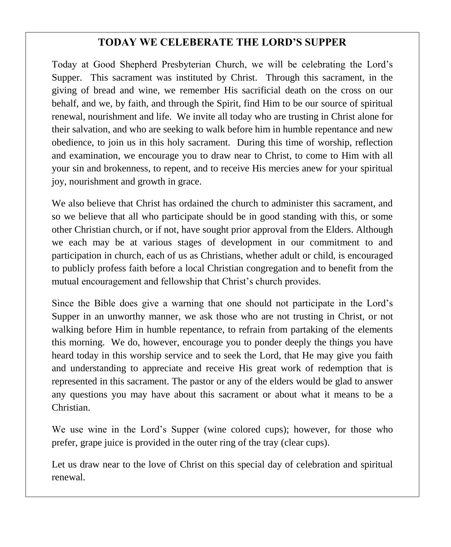# **TODAY WE CELEBERATE THE LORD'S SUPPER**

Today at Good Shepherd Presbyterian Church, we will be celebrating the Lord's Supper. This sacrament was instituted by Christ. Through this sacrament, in the giving of bread and wine, we remember His sacrificial death on the cross on our behalf, and we, by faith, and through the Spirit, find Him to be our source of spiritual renewal, nourishment and life. We invite all today who are trusting in Christ alone for their salvation, and who are seeking to walk before him in humble repentance and new obedience, to join us in this holy sacrament. During this time of worship, reflection and examination, we encourage you to draw near to Christ, to come to Him with all your sin and brokenness, to repent, and to receive His mercies anew for your spiritual joy, nourishment and growth in grace.

We also believe that Christ has ordained the church to administer this sacrament, and so we believe that all who participate should be in good standing with this, or some other Christian church, or if not, have sought prior approval from the Elders. Although we each may be at various stages of development in our commitment to and participation in church, each of us as Christians, whether adult or child, is encouraged to publicly profess faith before a local Christian congregation and to benefit from the mutual encouragement and fellowship that Christ's church provides.

Since the Bible does give a warning that one should not participate in the Lord's Supper in an unworthy manner, we ask those who are not trusting in Christ, or not walking before Him in humble repentance, to refrain from partaking of the elements this morning. We do, however, encourage you to ponder deeply the things you have heard today in this worship service and to seek the Lord, that He may give you faith and understanding to appreciate and receive His great work of redemption that is represented in this sacrament. The pastor or any of the elders would be glad to answer any questions you may have about this sacrament or about what it means to be a Christian.

We use wine in the Lord's Supper (wine colored cups); however, for those who prefer, grape juice is provided in the outer ring of the tray (clear cups).

Let us draw near to the love of Christ on this special day of celebration and spiritual renewal.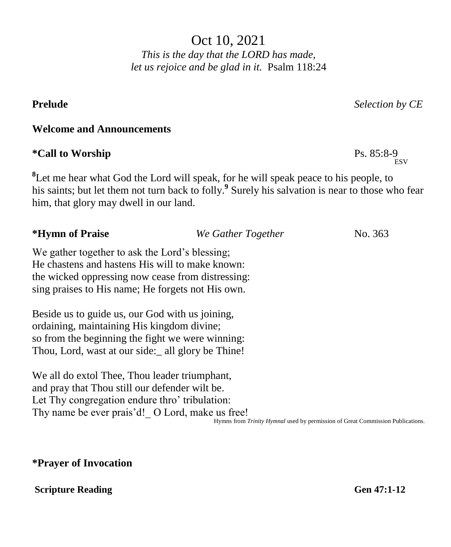Oct 10, 2021 *This is the day that the LORD has made,*

*let us rejoice and be glad in it.* Psalm 118:24

**Prelude** *Selection by CE*

**ESV** 

### **Welcome and Announcements**

## **\*Call to Worship** Ps. 85:8-9

<sup>8</sup>Let me hear what God the Lord will speak, for he will speak peace to his people, to his saints; but let them not turn back to folly.**<sup>9</sup>** Surely his salvation is near to those who fear him, that glory may dwell in our land.

| *Hymn of Praise                                   | We Gather Together | No. 363 |  |  |
|---------------------------------------------------|--------------------|---------|--|--|
| We gather together to ask the Lord's blessing;    |                    |         |  |  |
| He chastens and hastens His will to make known:   |                    |         |  |  |
| the wicked oppressing now cease from distressing: |                    |         |  |  |

sing praises to His name; He forgets not His own.

Beside us to guide us, our God with us joining, ordaining, maintaining His kingdom divine; so from the beginning the fight we were winning: Thou, Lord, wast at our side:\_ all glory be Thine!

We all do extol Thee, Thou leader triumphant, and pray that Thou still our defender wilt be. Let Thy congregation endure thro' tribulation: Thy name be ever prais'd! O Lord, make us free! Hymns from *Trinity Hymnal* used by permission of Great Commission Publications.

## **\*Prayer of Invocation**

### **Scripture Reading General Contract Contract Contract Contract Contract Contract Contract Contract Contract Contract Contract Contract Contract Contract Contract Contract Contract Contract Contract Contract Contract Contra**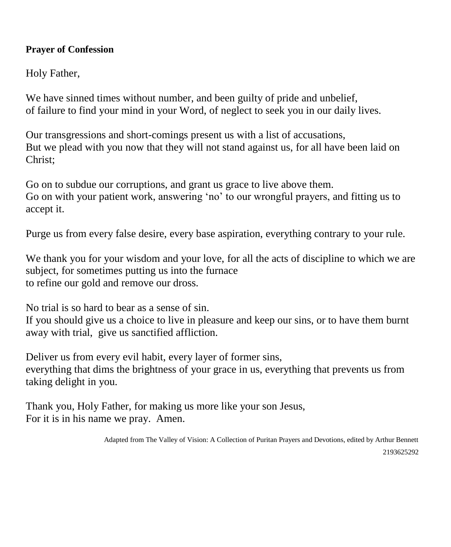### **Prayer of Confession**

Holy Father,

We have sinned times without number, and been guilty of pride and unbelief, of failure to find your mind in your Word, of neglect to seek you in our daily lives.

Our transgressions and short-comings present us with a list of accusations, But we plead with you now that they will not stand against us, for all have been laid on Christ;

Go on to subdue our corruptions, and grant us grace to live above them. Go on with your patient work, answering 'no' to our wrongful prayers, and fitting us to accept it.

Purge us from every false desire, every base aspiration, everything contrary to your rule.

We thank you for your wisdom and your love, for all the acts of discipline to which we are subject, for sometimes putting us into the furnace to refine our gold and remove our dross.

No trial is so hard to bear as a sense of sin.

If you should give us a choice to live in pleasure and keep our sins, or to have them burnt away with trial, give us sanctified affliction.

Deliver us from every evil habit, every layer of former sins, everything that dims the brightness of your grace in us, everything that prevents us from taking delight in you.

Thank you, Holy Father, for making us more like your son Jesus, For it is in his name we pray. Amen.

> Adapted from The Valley of Vision: A Collection of Puritan Prayers and Devotions, edited by Arthur Bennett 2193625292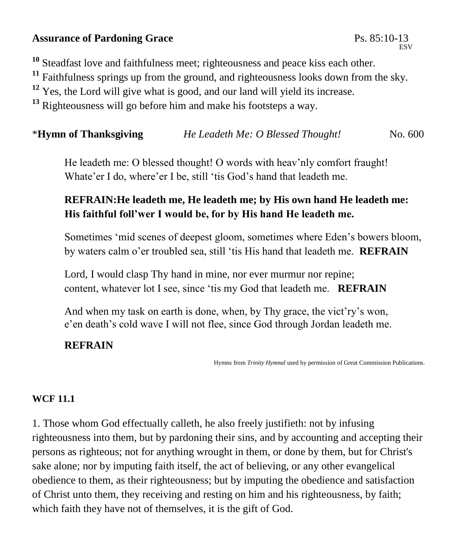# **Assurance of Pardoning Grace** Ps. 85:10-13

**<sup>10</sup>** Steadfast love and faithfulness meet; righteousness and peace kiss each other.

<sup>11</sup> Faithfulness springs up from the ground, and righteousness looks down from the sky.

<sup>12</sup> Yes, the Lord will give what is good, and our land will yield its increase.

**<sup>13</sup>** Righteousness will go before him and make his footsteps a way.

\***Hymn of Thanksgiving** *He Leadeth Me: O Blessed Thought!*No. 600

He leadeth me: O blessed thought! O words with heav'nly comfort fraught! Whate'er I do, where'er I be, still 'tis God's hand that leadeth me.

# **REFRAIN:He leadeth me, He leadeth me; by His own hand He leadeth me: His faithful foll'wer I would be, for by His hand He leadeth me.**

Sometimes 'mid scenes of deepest gloom, sometimes where Eden's bowers bloom, by waters calm o'er troubled sea, still 'tis His hand that leadeth me. **REFRAIN**

Lord, I would clasp Thy hand in mine, nor ever murmur nor repine; content, whatever lot I see, since 'tis my God that leadeth me. **REFRAIN**

And when my task on earth is done, when, by Thy grace, the vict'ry's won, e'en death's cold wave I will not flee, since God through Jordan leadeth me.

# **REFRAIN**

Hymns from *Trinity Hymnal* used by permission of Great Commission Publications.

## **WCF 11.1**

1. Those whom God effectually calleth, he also freely justifieth: not by infusing righteousness into them, but by pardoning their sins, and by accounting and accepting their persons as righteous; not for anything wrought in them, or done by them, but for Christ's sake alone; nor by imputing faith itself, the act of believing, or any other evangelical obedience to them, as their righteousness; but by imputing the obedience and satisfaction of Christ unto them, they receiving and resting on him and his righteousness, by faith; which faith they have not of themselves, it is the gift of God.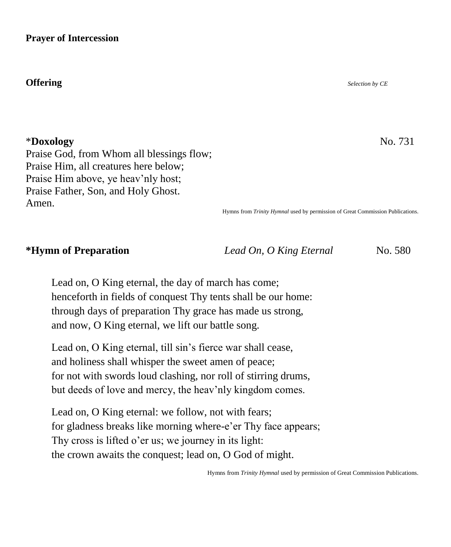### **Prayer of Intercession**

### **Offering** *Selection by CE*

\***Doxology** No. 731

Praise God, from Whom all blessings flow; Praise Him, all creatures here below; Praise Him above, ye heav'nly host; Praise Father, Son, and Holy Ghost. Amen.

Hymns from *Trinity Hymnal* used by permission of Great Commission Publications.

**\*Hymn of Preparation** *Lead On, O King Eternal* No. 580

Lead on, O King eternal, the day of march has come; henceforth in fields of conquest Thy tents shall be our home: through days of preparation Thy grace has made us strong, and now, O King eternal, we lift our battle song.

Lead on, O King eternal, till sin's fierce war shall cease, and holiness shall whisper the sweet amen of peace; for not with swords loud clashing, nor roll of stirring drums, but deeds of love and mercy, the heav'nly kingdom comes.

Lead on, O King eternal: we follow, not with fears; for gladness breaks like morning where-e'er Thy face appears; Thy cross is lifted o'er us; we journey in its light: the crown awaits the conquest; lead on, O God of might.

Hymns from *Trinity Hymnal* used by permission of Great Commission Publications.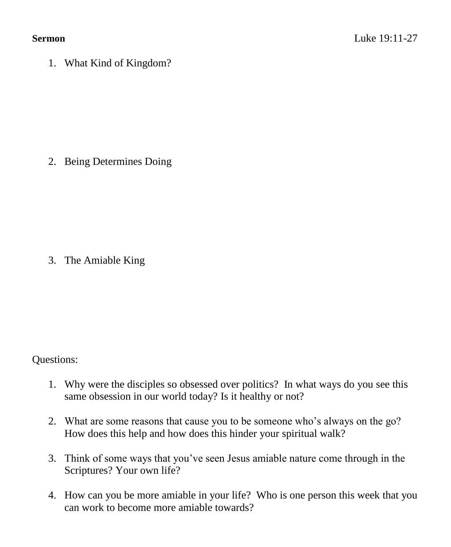1. What Kind of Kingdom?

2. Being Determines Doing

3. The Amiable King

Questions:

- 1. Why were the disciples so obsessed over politics? In what ways do you see this same obsession in our world today? Is it healthy or not?
- 2. What are some reasons that cause you to be someone who's always on the go? How does this help and how does this hinder your spiritual walk?
- 3. Think of some ways that you've seen Jesus amiable nature come through in the Scriptures? Your own life?
- 4. How can you be more amiable in your life? Who is one person this week that you can work to become more amiable towards?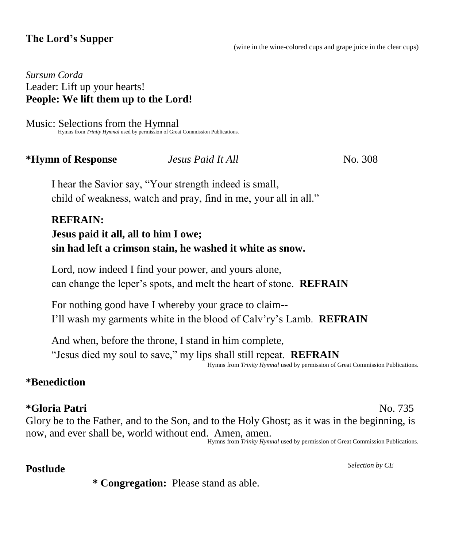## **The Lord's Supper**

(wine in the wine-colored cups and grape juice in the clear cups)

*Sursum Corda* Leader: Lift up your hearts! **People: We lift them up to the Lord!** 

Music: Selections from the Hymnal Hymns from *Trinity Hymnal* used by permission of Great Commission Publications.

### **\*Hymn of Response** *Jesus Paid It All* No. 308

I hear the Savior say, "Your strength indeed is small, child of weakness, watch and pray, find in me, your all in all."

# **REFRAIN: Jesus paid it all, all to him I owe; sin had left a crimson stain, he washed it white as snow.**

Lord, now indeed I find your power, and yours alone, can change the leper's spots, and melt the heart of stone. **REFRAIN**

For nothing good have I whereby your grace to claim-- I'll wash my garments white in the blood of Calv'ry's Lamb. **REFRAIN**

And when, before the throne, I stand in him complete, "Jesus died my soul to save," my lips shall still repeat. **REFRAIN**

Hymns from *Trinity Hymnal* used by permission of Great Commission Publications.

## **\*Benediction**

## **\*Gloria Patri** No. 735

Glory be to the Father, and to the Son, and to the Holy Ghost; as it was in the beginning, is now, and ever shall be, world without end. Amen, amen.

Hymns from *Trinity Hymnal* used by permission of Great Commission Publications.

# **Postlude** *Selection by CE*

**\* Congregation:** Please stand as able.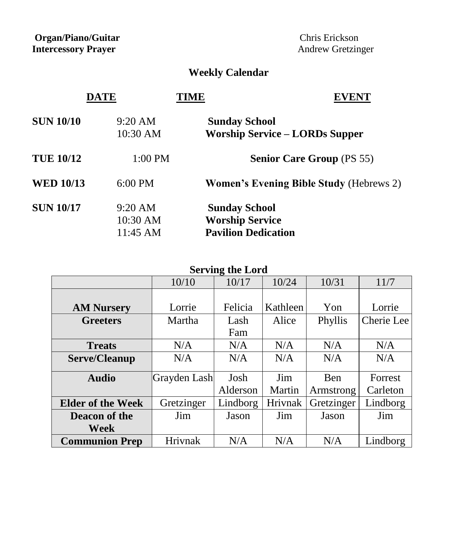**Organ/Piano/Guitar Chris Erickson Intercessory Prayer** Andrew Gretzinger

# **Weekly Calendar**

| <b>SUN 10/10</b> | $9:20 \text{ AM}$ | <b>Sunday School</b>                           |
|------------------|-------------------|------------------------------------------------|
|                  | 10:30 AM          | <b>Worship Service – LORDs Supper</b>          |
| <b>TUE 10/12</b> | 1:00 PM           | <b>Senior Care Group (PS 55)</b>               |
| <b>WED 10/13</b> | 6:00 PM           | <b>Women's Evening Bible Study (Hebrews 2)</b> |
| <b>SUN 10/17</b> | 9:20 AM           | <b>Sunday School</b>                           |
|                  | 10:30 AM          | <b>Worship Service</b>                         |
|                  | 11:45 AM          | <b>Pavilion Dedication</b>                     |

| <b>Serving the Lord</b>  |              |          |          |            |            |  |  |
|--------------------------|--------------|----------|----------|------------|------------|--|--|
|                          | 10/10        | 10/17    | 10/24    | 10/31      | 11/7       |  |  |
|                          |              |          |          |            |            |  |  |
| <b>AM Nursery</b>        | Lorrie       | Felicia  | Kathleen | Yon        | Lorrie     |  |  |
| <b>Greeters</b>          | Martha       | Lash     | Alice    | Phyllis    | Cherie Lee |  |  |
|                          |              | Fam      |          |            |            |  |  |
| <b>Treats</b>            | N/A          | N/A      | N/A      | N/A        | N/A        |  |  |
| Serve/Cleanup            | N/A          | N/A      | N/A      | N/A        | N/A        |  |  |
|                          |              |          |          |            |            |  |  |
| <b>Audio</b>             | Grayden Lash | Josh     | Jim      | Ben        | Forrest    |  |  |
|                          |              | Alderson | Martin   | Armstrong  | Carleton   |  |  |
| <b>Elder of the Week</b> | Gretzinger   | Lindborg | Hrivnak  | Gretzinger | Lindborg   |  |  |
| Deacon of the            | Jim          | Jason    | Jim      | Jason      | Jim        |  |  |
| <b>Week</b>              |              |          |          |            |            |  |  |
| <b>Communion Prep</b>    | Hrivnak      | N/A      | N/A      | N/A        | Lindborg   |  |  |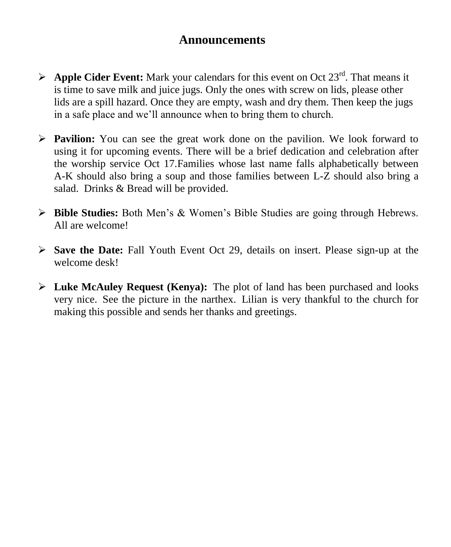# **Announcements**

- $\triangleright$  **Apple Cider Event:** Mark your calendars for this event on Oct 23<sup>rd</sup>. That means it is time to save milk and juice jugs. Only the ones with screw on lids, please other lids are a spill hazard. Once they are empty, wash and dry them. Then keep the jugs in a safe place and we'll announce when to bring them to church.
- **Pavilion:** You can see the great work done on the pavilion. We look forward to using it for upcoming events. There will be a brief dedication and celebration after the worship service Oct 17.Families whose last name falls alphabetically between A-K should also bring a soup and those families between L-Z should also bring a salad. Drinks & Bread will be provided.
- **Bible Studies:** Both Men's & Women's Bible Studies are going through Hebrews. All are welcome!
- **Save the Date:** Fall Youth Event Oct 29, details on insert. Please sign-up at the welcome desk!
- **Luke McAuley Request (Kenya):** The plot of land has been purchased and looks very nice. See the picture in the narthex. Lilian is very thankful to the church for making this possible and sends her thanks and greetings.